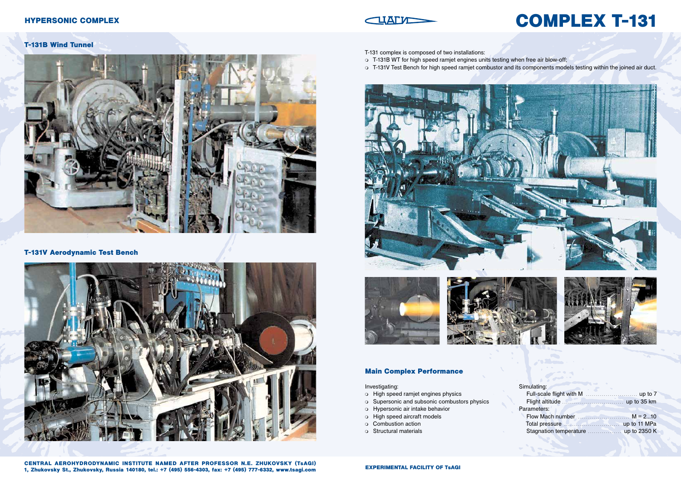**EXPERIMENTAL FACILITY OF TsAGI CENTRAL AEROHYDRODYNAMIC INSTITUTE NAMED AFTER PROFESSOR N.E. ZHUKOVSKY (TsAGI) 1, Zhukovsky St., Zhukovsky, Russia 140180, tel.: +7 (495) 556-4303, fax: +7 (495) 777-6332, www.tsagi.com**

## **Main Complex Performance**

Investigating:

- o High speed ramjet engines physics
- o Supersonic and subsonic combustors physics
- Hypersonic air intake behavior
- $\circ$  High speed aircraft models
- o Combustion action
- o Structural materials

| Simulating:                |  |
|----------------------------|--|
|                            |  |
|                            |  |
| Parameters:                |  |
| Flow Mach number $M = 210$ |  |
|                            |  |
|                            |  |

# **COMPLEX T-131**

o T-131V Test Bench for high speed ramjet combustor and its components models testing within the joined air duct.



- T-131 complex is composed of two installations:
- T-131B WT for high speed ramjet engines units testing when free air blow-off;
- 





#### **T-131B Wind Tunnel**



# **T-131V Aerodynamic Test Bench**



# **HYPERSONIC COMPLEX**